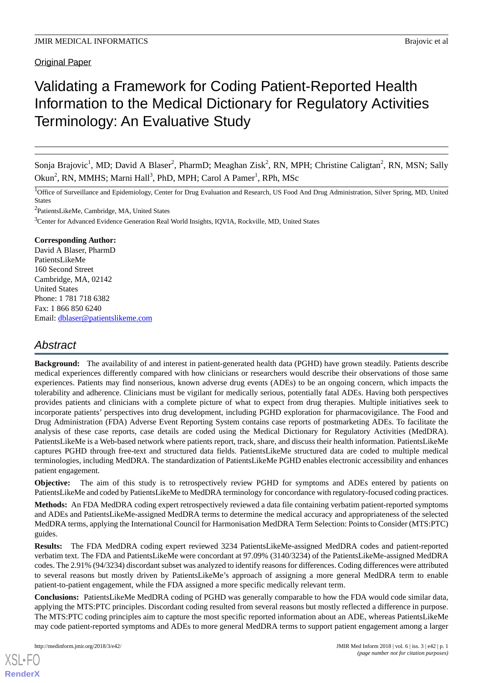Original Paper

# Validating a Framework for Coding Patient-Reported Health Information to the Medical Dictionary for Regulatory Activities Terminology: An Evaluative Study

Sonja Brajovic<sup>1</sup>, MD; David A Blaser<sup>2</sup>, PharmD; Meaghan Zisk<sup>2</sup>, RN, MPH; Christine Caligtan<sup>2</sup>, RN, MSN; Sally Okun<sup>2</sup>, RN, MMHS; Marni Hall<sup>3</sup>, PhD, MPH; Carol A Pamer<sup>1</sup>, RPh, MSc

<sup>1</sup>Office of Surveillance and Epidemiology, Center for Drug Evaluation and Research, US Food And Drug Administration, Silver Spring, MD, United States

<sup>2</sup>PatientsLikeMe, Cambridge, MA, United States

<sup>3</sup>Center for Advanced Evidence Generation Real World Insights, IQVIA, Rockville, MD, United States

## **Corresponding Author:**

David A Blaser, PharmD PatientsLikeMe 160 Second Street Cambridge, MA, 02142 United States Phone: 1 781 718 6382 Fax: 1 866 850 6240 Email: [dblaser@patientslikeme.com](mailto:dblaser@patientslikeme.com)

## *Abstract*

**Background:** The availability of and interest in patient-generated health data (PGHD) have grown steadily. Patients describe medical experiences differently compared with how clinicians or researchers would describe their observations of those same experiences. Patients may find nonserious, known adverse drug events (ADEs) to be an ongoing concern, which impacts the tolerability and adherence. Clinicians must be vigilant for medically serious, potentially fatal ADEs. Having both perspectives provides patients and clinicians with a complete picture of what to expect from drug therapies. Multiple initiatives seek to incorporate patients' perspectives into drug development, including PGHD exploration for pharmacovigilance. The Food and Drug Administration (FDA) Adverse Event Reporting System contains case reports of postmarketing ADEs. To facilitate the analysis of these case reports, case details are coded using the Medical Dictionary for Regulatory Activities (MedDRA). PatientsLikeMe is a Web-based network where patients report, track, share, and discuss their health information. PatientsLikeMe captures PGHD through free-text and structured data fields. PatientsLikeMe structured data are coded to multiple medical terminologies, including MedDRA. The standardization of PatientsLikeMe PGHD enables electronic accessibility and enhances patient engagement.

**Objective:** The aim of this study is to retrospectively review PGHD for symptoms and ADEs entered by patients on PatientsLikeMe and coded by PatientsLikeMe to MedDRA terminology for concordance with regulatory-focused coding practices.

**Methods:** An FDA MedDRA coding expert retrospectively reviewed a data file containing verbatim patient-reported symptoms and ADEs and PatientsLikeMe-assigned MedDRA terms to determine the medical accuracy and appropriateness of the selected MedDRA terms, applying the International Council for Harmonisation MedDRA Term Selection: Points to Consider (MTS:PTC) guides.

**Results:** The FDA MedDRA coding expert reviewed 3234 PatientsLikeMe-assigned MedDRA codes and patient-reported verbatim text. The FDA and PatientsLikeMe were concordant at 97.09% (3140/3234) of the PatientsLikeMe-assigned MedDRA codes. The 2.91% (94/3234) discordant subset was analyzed to identify reasons for differences. Coding differences were attributed to several reasons but mostly driven by PatientsLikeMe's approach of assigning a more general MedDRA term to enable patient-to-patient engagement, while the FDA assigned a more specific medically relevant term.

**Conclusions:** PatientsLikeMe MedDRA coding of PGHD was generally comparable to how the FDA would code similar data, applying the MTS:PTC principles. Discordant coding resulted from several reasons but mostly reflected a difference in purpose. The MTS:PTC coding principles aim to capture the most specific reported information about an ADE, whereas PatientsLikeMe may code patient-reported symptoms and ADEs to more general MedDRA terms to support patient engagement among a larger

[XSL](http://www.w3.org/Style/XSL)•FO **[RenderX](http://www.renderx.com/)**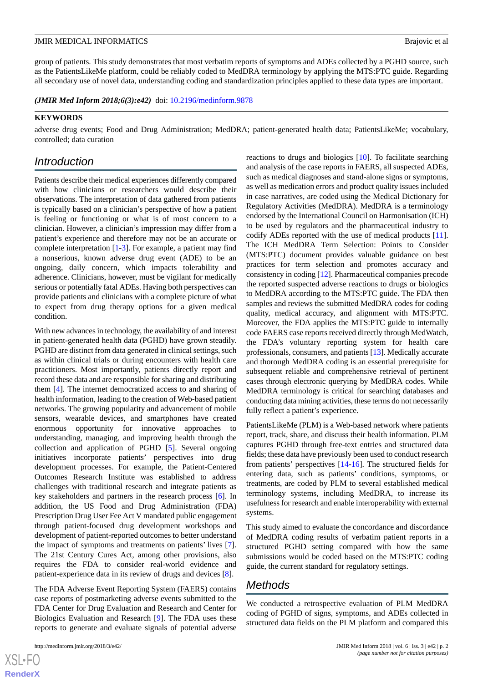group of patients. This study demonstrates that most verbatim reports of symptoms and ADEs collected by a PGHD source, such as the PatientsLikeMe platform, could be reliably coded to MedDRA terminology by applying the MTS:PTC guide. Regarding all secondary use of novel data, understanding coding and standardization principles applied to these data types are important.

(JMIR Med Inform 2018;6(3):e42) doi: [10.2196/medinform.9878](http://dx.doi.org/10.2196/medinform.9878)

## **KEYWORDS**

adverse drug events; Food and Drug Administration; MedDRA; patient-generated health data; PatientsLikeMe; vocabulary, controlled; data curation

## *Introduction*

Patients describe their medical experiences differently compared with how clinicians or researchers would describe their observations. The interpretation of data gathered from patients is typically based on a clinician's perspective of how a patient is feeling or functioning or what is of most concern to a clinician. However, a clinician's impression may differ from a patient's experience and therefore may not be an accurate or complete interpretation [[1-](#page-6-0)[3](#page-6-1)]. For example, a patient may find a nonserious, known adverse drug event (ADE) to be an ongoing, daily concern, which impacts tolerability and adherence. Clinicians, however, must be vigilant for medically serious or potentially fatal ADEs. Having both perspectives can provide patients and clinicians with a complete picture of what to expect from drug therapy options for a given medical condition.

With new advances in technology, the availability of and interest in patient-generated health data (PGHD) have grown steadily. PGHD are distinct from data generated in clinical settings, such as within clinical trials or during encounters with health care practitioners. Most importantly, patients directly report and record these data and are responsible for sharing and distributing them [\[4](#page-6-2)]. The internet democratized access to and sharing of health information, leading to the creation of Web-based patient networks. The growing popularity and advancement of mobile sensors, wearable devices, and smartphones have created enormous opportunity for innovative approaches to understanding, managing, and improving health through the collection and application of PGHD [\[5](#page-6-3)]. Several ongoing initiatives incorporate patients' perspectives into drug development processes. For example, the Patient-Centered Outcomes Research Institute was established to address challenges with traditional research and integrate patients as key stakeholders and partners in the research process [[6\]](#page-7-0). In addition, the US Food and Drug Administration (FDA) Prescription Drug User Fee Act V mandated public engagement through patient-focused drug development workshops and development of patient-reported outcomes to better understand the impact of symptoms and treatments on patients' lives [[7\]](#page-7-1). The 21st Century Cures Act, among other provisions, also requires the FDA to consider real-world evidence and patient-experience data in its review of drugs and devices [\[8](#page-7-2)].

The FDA Adverse Event Reporting System (FAERS) contains case reports of postmarketing adverse events submitted to the FDA Center for Drug Evaluation and Research and Center for Biologics Evaluation and Research [\[9](#page-7-3)]. The FDA uses these reports to generate and evaluate signals of potential adverse

 $XSI - F($ **[RenderX](http://www.renderx.com/)** reactions to drugs and biologics [\[10](#page-7-4)]. To facilitate searching and analysis of the case reports in FAERS, all suspected ADEs, such as medical diagnoses and stand-alone signs or symptoms, as well as medication errors and product quality issues included in case narratives, are coded using the Medical Dictionary for Regulatory Activities (MedDRA). MedDRA is a terminology endorsed by the International Council on Harmonisation (ICH) to be used by regulators and the pharmaceutical industry to codify ADEs reported with the use of medical products [[11\]](#page-7-5). The ICH MedDRA Term Selection: Points to Consider (MTS:PTC) document provides valuable guidance on best practices for term selection and promotes accuracy and consistency in coding [[12\]](#page-7-6). Pharmaceutical companies precode the reported suspected adverse reactions to drugs or biologics to MedDRA according to the MTS:PTC guide. The FDA then samples and reviews the submitted MedDRA codes for coding quality, medical accuracy, and alignment with MTS:PTC. Moreover, the FDA applies the MTS:PTC guide to internally code FAERS case reports received directly through MedWatch, the FDA's voluntary reporting system for health care professionals, consumers, and patients [[13\]](#page-7-7). Medically accurate and thorough MedDRA coding is an essential prerequisite for subsequent reliable and comprehensive retrieval of pertinent cases through electronic querying by MedDRA codes. While MedDRA terminology is critical for searching databases and conducting data mining activities, these terms do not necessarily fully reflect a patient's experience.

PatientsLikeMe (PLM) is a Web-based network where patients report, track, share, and discuss their health information. PLM captures PGHD through free-text entries and structured data fields; these data have previously been used to conduct research from patients' perspectives [[14](#page-7-8)[-16](#page-7-9)]. The structured fields for entering data, such as patients' conditions, symptoms, or treatments, are coded by PLM to several established medical terminology systems, including MedDRA, to increase its usefulness for research and enable interoperability with external systems.

This study aimed to evaluate the concordance and discordance of MedDRA coding results of verbatim patient reports in a structured PGHD setting compared with how the same submissions would be coded based on the MTS:PTC coding guide, the current standard for regulatory settings.

## *Methods*

We conducted a retrospective evaluation of PLM MedDRA coding of PGHD of signs, symptoms, and ADEs collected in structured data fields on the PLM platform and compared this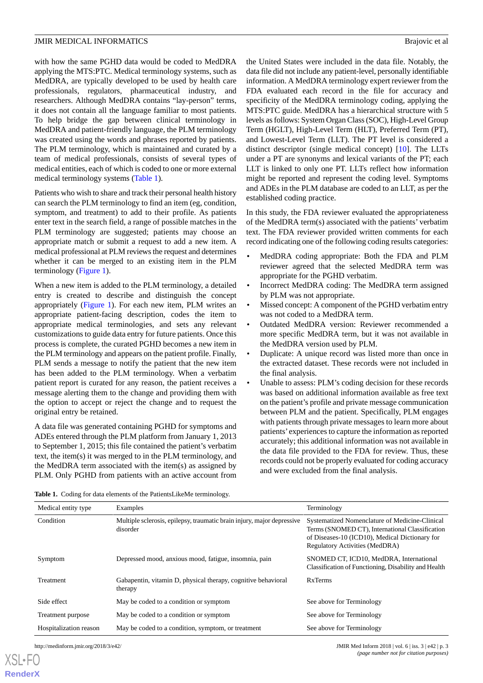with how the same PGHD data would be coded to MedDRA applying the MTS:PTC. Medical terminology systems, such as MedDRA, are typically developed to be used by health care professionals, regulators, pharmaceutical industry, and researchers. Although MedDRA contains "lay-person" terms, it does not contain all the language familiar to most patients. To help bridge the gap between clinical terminology in MedDRA and patient-friendly language, the PLM terminology was created using the words and phrases reported by patients. The PLM terminology, which is maintained and curated by a team of medical professionals, consists of several types of medical entities, each of which is coded to one or more external medical terminology systems ([Table 1](#page-2-0)).

Patients who wish to share and track their personal health history can search the PLM terminology to find an item (eg, condition, symptom, and treatment) to add to their profile. As patients enter text in the search field, a range of possible matches in the PLM terminology are suggested; patients may choose an appropriate match or submit a request to add a new item. A medical professional at PLM reviews the request and determines whether it can be merged to an existing item in the PLM terminology [\(Figure 1\)](#page-3-0).

When a new item is added to the PLM terminology, a detailed entry is created to describe and distinguish the concept appropriately ([Figure 1\)](#page-3-0). For each new item, PLM writes an appropriate patient-facing description, codes the item to appropriate medical terminologies, and sets any relevant customizations to guide data entry for future patients. Once this process is complete, the curated PGHD becomes a new item in the PLM terminology and appears on the patient profile. Finally, PLM sends a message to notify the patient that the new item has been added to the PLM terminology. When a verbatim patient report is curated for any reason, the patient receives a message alerting them to the change and providing them with the option to accept or reject the change and to request the original entry be retained.

<span id="page-2-0"></span>A data file was generated containing PGHD for symptoms and ADEs entered through the PLM platform from January 1, 2013 to September 1, 2015; this file contained the patient's verbatim text, the item(s) it was merged to in the PLM terminology, and the MedDRA term associated with the item(s) as assigned by PLM. Only PGHD from patients with an active account from the United States were included in the data file. Notably, the data file did not include any patient-level, personally identifiable information. A MedDRA terminology expert reviewer from the FDA evaluated each record in the file for accuracy and specificity of the MedDRA terminology coding, applying the MTS:PTC guide. MedDRA has a hierarchical structure with 5 levels as follows: System Organ Class (SOC), High-Level Group Term (HGLT), High-Level Term (HLT), Preferred Term (PT), and Lowest-Level Term (LLT). The PT level is considered a distinct descriptor (single medical concept) [\[10](#page-7-4)]. The LLTs under a PT are synonyms and lexical variants of the PT; each LLT is linked to only one PT. LLTs reflect how information might be reported and represent the coding level. Symptoms and ADEs in the PLM database are coded to an LLT, as per the established coding practice.

In this study, the FDA reviewer evaluated the appropriateness of the MedDRA term(s) associated with the patients' verbatim text. The FDA reviewer provided written comments for each record indicating one of the following coding results categories:

- MedDRA coding appropriate: Both the FDA and PLM reviewer agreed that the selected MedDRA term was appropriate for the PGHD verbatim.
- Incorrect MedDRA coding: The MedDRA term assigned by PLM was not appropriate.
- Missed concept: A component of the PGHD verbatim entry was not coded to a MedDRA term.
- Outdated MedDRA version: Reviewer recommended a more specific MedDRA term, but it was not available in the MedDRA version used by PLM.
- Duplicate: A unique record was listed more than once in the extracted dataset. These records were not included in the final analysis.
- Unable to assess: PLM's coding decision for these records was based on additional information available as free text on the patient's profile and private message communication between PLM and the patient. Specifically, PLM engages with patients through private messages to learn more about patients' experiences to capture the information as reported accurately; this additional information was not available in the data file provided to the FDA for review. Thus, these records could not be properly evaluated for coding accuracy and were excluded from the final analysis.

**Table 1.** Coding for data elements of the PatientsLikeMe terminology.

| Medical entity type    | Examples                                                                           | Terminology                                                                                                                                                                                  |
|------------------------|------------------------------------------------------------------------------------|----------------------------------------------------------------------------------------------------------------------------------------------------------------------------------------------|
| Condition              | Multiple sclerosis, epilepsy, traumatic brain injury, major depressive<br>disorder | Systematized Nomenclature of Medicine-Clinical<br>Terms (SNOMED CT), International Classification<br>of Diseases-10 (ICD10), Medical Dictionary for<br><b>Regulatory Activities (MedDRA)</b> |
| Symptom                | Depressed mood, anxious mood, fatigue, insomnia, pain                              | SNOMED CT, ICD10, MedDRA, International<br>Classification of Functioning, Disability and Health                                                                                              |
| Treatment              | Gabapentin, vitamin D, physical therapy, cognitive behavioral<br>therapy           | <b>RxTerms</b>                                                                                                                                                                               |
| Side effect            | May be coded to a condition or symptom                                             | See above for Terminology                                                                                                                                                                    |
| Treatment purpose      | May be coded to a condition or symptom                                             | See above for Terminology                                                                                                                                                                    |
| Hospitalization reason | May be coded to a condition, symptom, or treatment                                 | See above for Terminology                                                                                                                                                                    |

[XSL](http://www.w3.org/Style/XSL)•FO **[RenderX](http://www.renderx.com/)**

http://medinform.jmir.org/2018/3/e42/ JMIR Med Inform 2018 | vol. 6 | iss. 3 | e42 | p. 3 *(page number not for citation purposes)*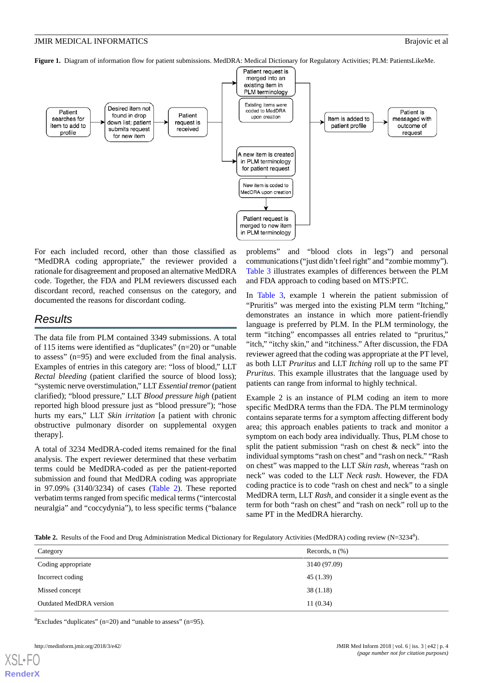<span id="page-3-0"></span>**Figure 1.** Diagram of information flow for patient submissions. MedDRA: Medical Dictionary for Regulatory Activities; PLM: PatientsLikeMe.



For each included record, other than those classified as "MedDRA coding appropriate," the reviewer provided a rationale for disagreement and proposed an alternative MedDRA code. Together, the FDA and PLM reviewers discussed each discordant record, reached consensus on the category, and documented the reasons for discordant coding.

## *Results*

The data file from PLM contained 3349 submissions. A total of 115 items were identified as "duplicates" (n=20) or "unable to assess" (n=95) and were excluded from the final analysis. Examples of entries in this category are: "loss of blood," LLT *Rectal bleeding* (patient clarified the source of blood loss); "systemic nerve overstimulation," LLT *Essential tremor*(patient clarified); "blood pressure," LLT *Blood pressure high* (patient reported high blood pressure just as "blood pressure"); "hose hurts my ears," LLT *Skin irritation* [a patient with chronic obstructive pulmonary disorder on supplemental oxygen therapy].

<span id="page-3-1"></span>A total of 3234 MedDRA-coded items remained for the final analysis. The expert reviewer determined that these verbatim terms could be MedDRA-coded as per the patient-reported submission and found that MedDRA coding was appropriate in 97.09% (3140/3234) of cases [\(Table 2](#page-3-1)). These reported verbatim terms ranged from specific medical terms ("intercostal neuralgia" and "coccydynia"), to less specific terms ("balance problems" and "blood clots in legs") and personal communications ("just didn't feel right" and "zombie mommy"). [Table 3](#page-4-0) illustrates examples of differences between the PLM and FDA approach to coding based on MTS:PTC.

In [Table 3,](#page-4-0) example 1 wherein the patient submission of "Pruritis" was merged into the existing PLM term "Itching," demonstrates an instance in which more patient-friendly language is preferred by PLM. In the PLM terminology, the term "itching" encompasses all entries related to "pruritus," "itch," "itchy skin," and "itchiness." After discussion, the FDA reviewer agreed that the coding was appropriate at the PT level, as both LLT *Pruritus* and LLT *Itching* roll up to the same PT *Pruritus*. This example illustrates that the language used by patients can range from informal to highly technical.

Example 2 is an instance of PLM coding an item to more specific MedDRA terms than the FDA. The PLM terminology contains separate terms for a symptom affecting different body area; this approach enables patients to track and monitor a symptom on each body area individually. Thus, PLM chose to split the patient submission "rash on chest & neck" into the individual symptoms "rash on chest" and "rash on neck." "Rash on chest" was mapped to the LLT *Skin rash*, whereas "rash on neck" was coded to the LLT *Neck rash*. However, the FDA coding practice is to code "rash on chest and neck" to a single MedDRA term, LLT *Rash,* and consider it a single event as the term for both "rash on chest" and "rash on neck" roll up to the same PT in the MedDRA hierarchy.

Table 2. Results of the Food and Drug Administration Medical Dictionary for Regulatory Activities (MedDRA) coding review (N=3234<sup>a</sup>).

| Category                       | Records, $n$ $(\%)$ |
|--------------------------------|---------------------|
| Coding appropriate             | 3140 (97.09)        |
| Incorrect coding               | 45(1.39)            |
| Missed concept                 | 38(1.18)            |
| <b>Outdated MedDRA</b> version | 11(0.34)            |

 ${}^{a}$ Excludes "duplicates" (n=20) and "unable to assess" (n=95).

[XSL](http://www.w3.org/Style/XSL)•FO **[RenderX](http://www.renderx.com/)**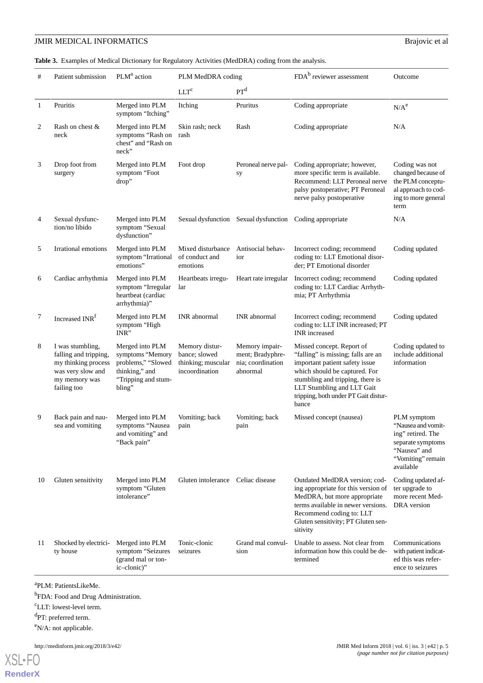## **JMIR MEDICAL INFORMATICS** Brajovic et al

<span id="page-4-0"></span>**Table 3.** Examples of Medical Dictionary for Regulatory Activities (MedDRA) coding from the analysis.

| #  | Patient submission                                                                                                    | PLM <sup>a</sup> action                                                                                      | PLM MedDRA coding                                                       |                                                                     | FDA <sup>b</sup> reviewer assessment                                                                                                                                                                                                                  | Outcome                                                                                                                       |
|----|-----------------------------------------------------------------------------------------------------------------------|--------------------------------------------------------------------------------------------------------------|-------------------------------------------------------------------------|---------------------------------------------------------------------|-------------------------------------------------------------------------------------------------------------------------------------------------------------------------------------------------------------------------------------------------------|-------------------------------------------------------------------------------------------------------------------------------|
|    |                                                                                                                       |                                                                                                              | LLT <sup>c</sup>                                                        | PT <sup>d</sup>                                                     |                                                                                                                                                                                                                                                       |                                                                                                                               |
| 1  | Pruritis                                                                                                              | Merged into PLM<br>symptom "Itching"                                                                         | Itching                                                                 | Pruritus                                                            | Coding appropriate                                                                                                                                                                                                                                    | $N/A^e$                                                                                                                       |
| 2  | Rash on chest &<br>neck                                                                                               | Merged into PLM<br>symptoms "Rash on<br>chest" and "Rash on<br>neck"                                         | Skin rash; neck<br>rash                                                 | Rash                                                                | Coding appropriate                                                                                                                                                                                                                                    | N/A                                                                                                                           |
| 3  | Drop foot from<br>surgery                                                                                             | Merged into PLM<br>symptom "Foot<br>drop"                                                                    | Foot drop                                                               | Peroneal nerve pal-<br>sy                                           | Coding appropriate; however,<br>more specific term is available.<br>Recommend: LLT Peroneal nerve<br>palsy postoperative; PT Peroneal<br>nerve palsy postoperative                                                                                    | Coding was not<br>changed because of<br>the PLM conceptu-<br>al approach to cod-<br>ing to more general<br>term               |
| 4  | Sexual dysfunc-<br>tion/no libido                                                                                     | Merged into PLM<br>symptom "Sexual<br>dysfunction"                                                           |                                                                         | Sexual dysfunction Sexual dysfunction                               | Coding appropriate                                                                                                                                                                                                                                    | N/A                                                                                                                           |
| 5  | Irrational emotions                                                                                                   | Merged into PLM<br>symptom "Irrational<br>emotions"                                                          | Mixed disturbance<br>of conduct and<br>emotions                         | Antisocial behav-<br>ior                                            | Incorrect coding; recommend<br>coding to: LLT Emotional disor-<br>der; PT Emotional disorder                                                                                                                                                          | Coding updated                                                                                                                |
| 6  | Cardiac arrhythmia                                                                                                    | Merged into PLM<br>symptom "Irregular<br>heartbeat (cardiac<br>arrhythmia)"                                  | Heartbeats irregu-<br>lar                                               | Heart rate irregular                                                | Incorrect coding; recommend<br>coding to: LLT Cardiac Arrhyth-<br>mia; PT Arrhythmia                                                                                                                                                                  | Coding updated                                                                                                                |
| 7  | Increased INR <sup>f</sup>                                                                                            | Merged into PLM<br>symptom "High<br>INR"                                                                     | <b>INR</b> abnormal                                                     | <b>INR</b> abnormal                                                 | Incorrect coding; recommend<br>coding to: LLT INR increased; PT<br>INR increased                                                                                                                                                                      | Coding updated                                                                                                                |
| 8  | I was stumbling,<br>falling and tripping,<br>my thinking process<br>was very slow and<br>my memory was<br>failing too | Merged into PLM<br>symptoms "Memory<br>problems," "Slowed<br>thinking," and<br>"Tripping and stum-<br>bling" | Memory distur-<br>bance; slowed<br>thinking; muscular<br>incoordination | Memory impair-<br>ment; Bradyphre-<br>nia; coordination<br>abnormal | Missed concept. Report of<br>"falling" is missing; falls are an<br>important patient safety issue<br>which should be captured. For<br>stumbling and tripping, there is<br>LLT Stumbling and LLT Gait<br>tripping, both under PT Gait distur-<br>bance | Coding updated to<br>include additional<br>information                                                                        |
| 9  | Back pain and nau-<br>sea and vomiting                                                                                | Merged into PLM<br>symptoms "Nausea<br>and vomiting" and<br>"Back pain"                                      | Vomiting; back<br>pain                                                  | Vomiting; back<br>pain                                              | Missed concept (nausea)                                                                                                                                                                                                                               | PLM symptom<br>"Nausea and vomit-<br>ing" retired. The<br>separate symptoms<br>"Nausea" and<br>"Vomiting" remain<br>available |
| 10 | Gluten sensitivity                                                                                                    | Merged into PLM<br>symptom "Gluten<br>intolerance"                                                           | Gluten intolerance Celiac disease                                       |                                                                     | Outdated MedDRA version; cod-<br>ing appropriate for this version of<br>MedDRA, but more appropriate<br>terms available in newer versions.<br>Recommend coding to: LLT<br>Gluten sensitivity; PT Gluten sen-<br>sitivity                              | Coding updated af-<br>ter upgrade to<br>more recent Med-<br>DRA version                                                       |
| 11 | Shocked by electrici-<br>ty house                                                                                     | Merged into PLM<br>symptom "Seizures<br>(grand mal or ton-<br>ic-clonic)"                                    | Tonic-clonic<br>seizures                                                | Grand mal convul-<br>sion                                           | Unable to assess. Not clear from<br>information how this could be de-<br>termined                                                                                                                                                                     | Communications<br>with patient indicat-<br>ed this was refer-<br>ence to seizures                                             |

a PLM: PatientsLikeMe.

<sup>b</sup>FDA: Food and Drug Administration.

<sup>c</sup>LLT: lowest-level term.

<sup>d</sup>PT: preferred term.

<sup>e</sup>N/A: not applicable.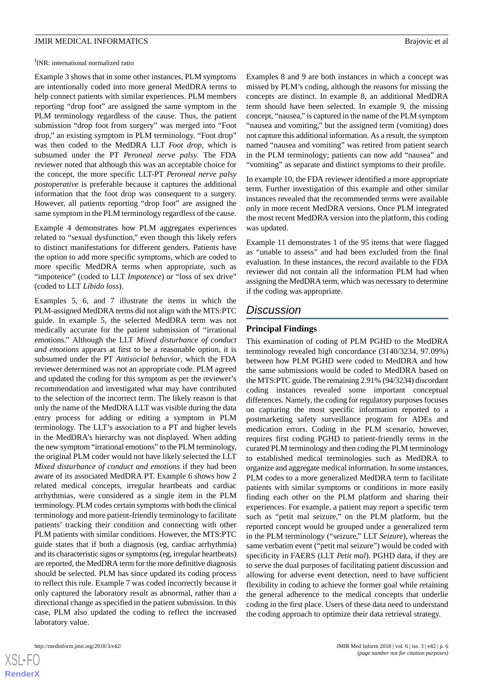<sup>f</sup>INR: international normalized ratio

Example 3 shows that in some other instances, PLM symptoms are intentionally coded into more general MedDRA terms to help connect patients with similar experiences. PLM members reporting "drop foot" are assigned the same symptom in the PLM terminology regardless of the cause. Thus, the patient submission "drop foot from surgery" was merged into "Foot drop," an existing symptom in PLM terminology. "Foot drop" was then coded to the MedDRA LLT *Foot drop*, which is subsumed under the PT *Peroneal nerve palsy.* The FDA reviewer noted that although this was an acceptable choice for the concept, the more specific LLT-PT *Peroneal nerve palsy postoperative* is preferable because it captures the additional information that the foot drop was consequent to a surgery. However, all patients reporting "drop foot" are assigned the same symptom in the PLM terminology regardless of the cause.

Example 4 demonstrates how PLM aggregates experiences related to "sexual dysfunction," even though this likely refers to distinct manifestations for different genders. Patients have the option to add more specific symptoms, which are coded to more specific MedDRA terms when appropriate, such as "impotence" (coded to LLT *Impotence*) or "loss of sex drive" (coded to LLT *Libido loss*).

Examples 5, 6, and 7 illustrate the items in which the PLM-assigned MedDRA terms did not align with the MTS:PTC guide. In example 5, the selected MedDRA term was not medically accurate for the patient submission of "irrational emotions." Although the LLT *Mixed disturbance of conduct and emotions* appears at first to be a reasonable option, it is subsumed under the PT *Antisocial behavior*, which the FDA reviewer determined was not an appropriate code. PLM agreed and updated the coding for this symptom as per the reviewer's recommendation and investigated what may have contributed to the selection of the incorrect term. The likely reason is that only the name of the MedDRA LLT was visible during the data entry process for adding or editing a symptom in PLM terminology. The LLT's association to a PT and higher levels in the MedDRA's hierarchy was not displayed. When adding the new symptom "irrational emotions" to the PLM terminology, the original PLM coder would not have likely selected the LLT *Mixed disturbance of conduct and emotions* if they had been aware of its associated MedDRA PT. Example 6 shows how 2 related medical concepts, irregular heartbeats and cardiac arrhythmias, were considered as a single item in the PLM terminology. PLM codes certain symptoms with both the clinical terminology and more patient-friendly terminology to facilitate patients' tracking their condition and connecting with other PLM patients with similar conditions. However, the MTS:PTC guide states that if both a diagnosis (eg, cardiac arrhythmia) and its characteristic signs or symptoms (eg, irregular heartbeats) are reported, the MedDRA term for the more definitive diagnosis should be selected. PLM has since updated its coding process to reflect this rule. Example 7 was coded incorrectly because it only captured the laboratory result as abnormal, rather than a directional change as specified in the patient submission. In this case, PLM also updated the coding to reflect the increased laboratory value.

 $XSI - F($ **[RenderX](http://www.renderx.com/)** Examples 8 and 9 are both instances in which a concept was missed by PLM's coding, although the reasons for missing the concepts are distinct. In example 8, an additional MedDRA term should have been selected. In example 9, the missing concept, "nausea," is captured in the name of the PLM symptom "nausea and vomiting," but the assigned term (vomiting) does not capture this additional information. As a result, the symptom named "nausea and vomiting" was retired from patient search in the PLM terminology; patients can now add "nausea" and "vomiting" as separate and distinct symptoms to their profile.

In example 10, the FDA reviewer identified a more appropriate term. Further investigation of this example and other similar instances revealed that the recommended terms were available only in more recent MedDRA versions. Once PLM integrated the most recent MedDRA version into the platform, this coding was updated.

Example 11 demonstrates 1 of the 95 items that were flagged as "unable to assess" and had been excluded from the final evaluation. In these instances, the record available to the FDA reviewer did not contain all the information PLM had when assigning the MedDRA term, which was necessary to determine if the coding was appropriate.

## *Discussion*

## **Principal Findings**

This examination of coding of PLM PGHD to the MedDRA terminology revealed high concordance (3140/3234, 97.09%) between how PLM PGHD were coded to MedDRA and how the same submissions would be coded to MedDRA based on the MTS:PTC guide. The remaining 2.91% (94/3234) discordant coding instances revealed some important conceptual differences. Namely, the coding for regulatory purposes focuses on capturing the most specific information reported to a postmarketing safety surveillance program for ADEs and medication errors. Coding in the PLM scenario, however, requires first coding PGHD to patient-friendly terms in the curated PLM terminology and then coding the PLM terminology to established medical terminologies such as MedDRA to organize and aggregate medical information. In some instances, PLM codes to a more generalized MedDRA term to facilitate patients with similar symptoms or conditions in more easily finding each other on the PLM platform and sharing their experiences. For example, a patient may report a specific term such as "petit mal seizure," on the PLM platform, but the reported concept would be grouped under a generalized term in the PLM terminology ("seizure," LLT *Seizure*), whereas the same verbatim event ("petit mal seizure") would be coded with specificity in FAERS (LLT *Petit mal*). PGHD data, if they are to serve the dual purposes of facilitating patient discussion and allowing for adverse event detection, need to have sufficient flexibility in coding to achieve the former goal while retaining the general adherence to the medical concepts that underlie coding in the first place. Users of these data need to understand the coding approach to optimize their data retrieval strategy.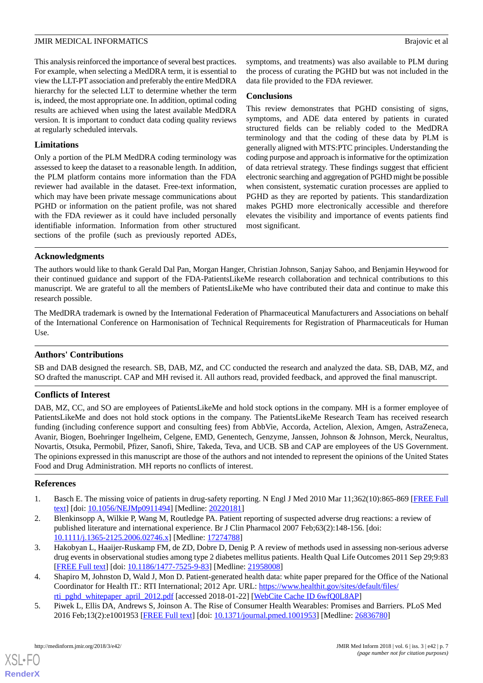This analysis reinforced the importance of several best practices. For example, when selecting a MedDRA term, it is essential to view the LLT-PT association and preferably the entire MedDRA hierarchy for the selected LLT to determine whether the term is, indeed, the most appropriate one. In addition, optimal coding results are achieved when using the latest available MedDRA version. It is important to conduct data coding quality reviews at regularly scheduled intervals.

## **Limitations**

Only a portion of the PLM MedDRA coding terminology was assessed to keep the dataset to a reasonable length. In addition, the PLM platform contains more information than the FDA reviewer had available in the dataset. Free-text information, which may have been private message communications about PGHD or information on the patient profile, was not shared with the FDA reviewer as it could have included personally identifiable information. Information from other structured sections of the profile (such as previously reported ADEs,

symptoms, and treatments) was also available to PLM during the process of curating the PGHD but was not included in the data file provided to the FDA reviewer.

## **Conclusions**

This review demonstrates that PGHD consisting of signs, symptoms, and ADE data entered by patients in curated structured fields can be reliably coded to the MedDRA terminology and that the coding of these data by PLM is generally aligned with MTS:PTC principles. Understanding the coding purpose and approach is informative for the optimization of data retrieval strategy. These findings suggest that efficient electronic searching and aggregation of PGHD might be possible when consistent, systematic curation processes are applied to PGHD as they are reported by patients. This standardization makes PGHD more electronically accessible and therefore elevates the visibility and importance of events patients find most significant.

## **Acknowledgments**

The authors would like to thank Gerald Dal Pan, Morgan Hanger, Christian Johnson, Sanjay Sahoo, and Benjamin Heywood for their continued guidance and support of the FDA-PatientsLikeMe research collaboration and technical contributions to this manuscript. We are grateful to all the members of PatientsLikeMe who have contributed their data and continue to make this research possible.

The MedDRA trademark is owned by the International Federation of Pharmaceutical Manufacturers and Associations on behalf of the International Conference on Harmonisation of Technical Requirements for Registration of Pharmaceuticals for Human Use.

## **Authors' Contributions**

SB and DAB designed the research. SB, DAB, MZ, and CC conducted the research and analyzed the data. SB, DAB, MZ, and SO drafted the manuscript. CAP and MH revised it. All authors read, provided feedback, and approved the final manuscript.

## **Conflicts of Interest**

DAB, MZ, CC, and SO are employees of PatientsLikeMe and hold stock options in the company. MH is a former employee of PatientsLikeMe and does not hold stock options in the company. The PatientsLikeMe Research Team has received research funding (including conference support and consulting fees) from AbbVie, Accorda, Actelion, Alexion, Amgen, AstraZeneca, Avanir, Biogen, Boehringer Ingelheim, Celgene, EMD, Genentech, Genzyme, Janssen, Johnson & Johnson, Merck, Neuraltus, Novartis, Otsuka, Permobil, Pfizer, Sanofi, Shire, Takeda, Teva, and UCB. SB and CAP are employees of the US Government. The opinions expressed in this manuscript are those of the authors and not intended to represent the opinions of the United States Food and Drug Administration. MH reports no conflicts of interest.

## <span id="page-6-0"></span>**References**

- <span id="page-6-1"></span>1. Basch E. The missing voice of patients in drug-safety reporting. N Engl J Med 2010 Mar 11;362(10):865-869 [[FREE Full](http://europepmc.org/abstract/MED/20220181) [text](http://europepmc.org/abstract/MED/20220181)] [doi: [10.1056/NEJMp0911494\]](http://dx.doi.org/10.1056/NEJMp0911494) [Medline: [20220181\]](http://www.ncbi.nlm.nih.gov/entrez/query.fcgi?cmd=Retrieve&db=PubMed&list_uids=20220181&dopt=Abstract)
- <span id="page-6-2"></span>2. Blenkinsopp A, Wilkie P, Wang M, Routledge PA. Patient reporting of suspected adverse drug reactions: a review of published literature and international experience. Br J Clin Pharmacol 2007 Feb;63(2):148-156. [doi: [10.1111/j.1365-2125.2006.02746.x\]](http://dx.doi.org/10.1111/j.1365-2125.2006.02746.x) [Medline: [17274788\]](http://www.ncbi.nlm.nih.gov/entrez/query.fcgi?cmd=Retrieve&db=PubMed&list_uids=17274788&dopt=Abstract)
- <span id="page-6-3"></span>3. Hakobyan L, Haaijer-Ruskamp FM, de ZD, Dobre D, Denig P. A review of methods used in assessing non-serious adverse drug events in observational studies among type 2 diabetes mellitus patients. Health Qual Life Outcomes 2011 Sep 29;9:83 [[FREE Full text](https://hqlo.biomedcentral.com/articles/10.1186/1477-7525-9-83)] [doi: [10.1186/1477-7525-9-83\]](http://dx.doi.org/10.1186/1477-7525-9-83) [Medline: [21958008\]](http://www.ncbi.nlm.nih.gov/entrez/query.fcgi?cmd=Retrieve&db=PubMed&list_uids=21958008&dopt=Abstract)
- 4. Shapiro M, Johnston D, Wald J, Mon D. Patient-generated health data: white paper prepared for the Office of the National Coordinator for Health IT.: RTI International; 2012 Apr. URL: [https://www.healthit.gov/sites/default/files/](https://www.healthit.gov/sites/default/files/rti_pghd_whitepaper_april_2012.pdf) [rti\\_pghd\\_whitepaper\\_april\\_2012.pdf](https://www.healthit.gov/sites/default/files/rti_pghd_whitepaper_april_2012.pdf) [accessed 2018-01-22] [\[WebCite Cache ID 6wfQ0L8AP\]](http://www.webcitation.org/

                                6wfQ0L8AP)
- 5. Piwek L, Ellis DA, Andrews S, Joinson A. The Rise of Consumer Health Wearables: Promises and Barriers. PLoS Med 2016 Feb;13(2):e1001953 [\[FREE Full text\]](http://dx.plos.org/10.1371/journal.pmed.1001953) [doi: [10.1371/journal.pmed.1001953\]](http://dx.doi.org/10.1371/journal.pmed.1001953) [Medline: [26836780\]](http://www.ncbi.nlm.nih.gov/entrez/query.fcgi?cmd=Retrieve&db=PubMed&list_uids=26836780&dopt=Abstract)

 $XS$  $\cdot$ FC **[RenderX](http://www.renderx.com/)**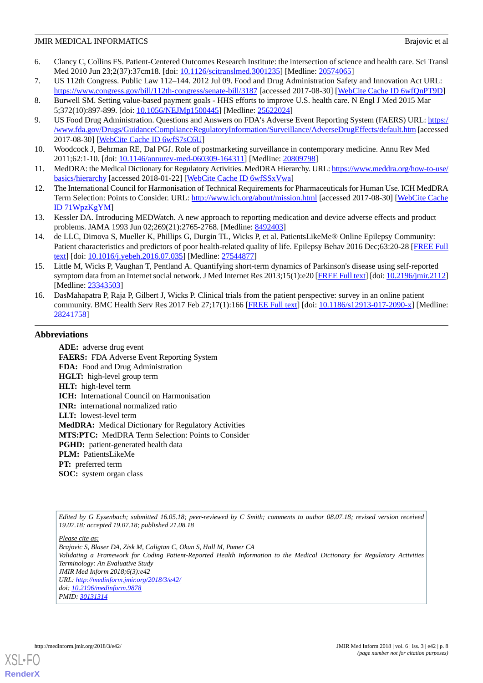- <span id="page-7-0"></span>6. Clancy C, Collins FS. Patient-Centered Outcomes Research Institute: the intersection of science and health care. Sci Transl Med 2010 Jun 23;2(37):37cm18. [doi: [10.1126/scitranslmed.3001235](http://dx.doi.org/10.1126/scitranslmed.3001235)] [Medline: [20574065](http://www.ncbi.nlm.nih.gov/entrez/query.fcgi?cmd=Retrieve&db=PubMed&list_uids=20574065&dopt=Abstract)]
- <span id="page-7-1"></span>7. US 112th Congress. Public Law 112–144. 2012 Jul 09. Food and Drug Administration Safety and Innovation Act URL:
- <span id="page-7-2"></span><https://www.congress.gov/bill/112th-congress/senate-bill/3187> [accessed 2017-08-30] [\[WebCite Cache ID 6wfQnPT9D\]](http://www.webcitation.org/

                                6wfQnPT9D) 8. Burwell SM. Setting value-based payment goals - HHS efforts to improve U.S. health care. N Engl J Med 2015 Mar 5;372(10):897-899. [doi: [10.1056/NEJMp1500445\]](http://dx.doi.org/10.1056/NEJMp1500445) [Medline: [25622024\]](http://www.ncbi.nlm.nih.gov/entrez/query.fcgi?cmd=Retrieve&db=PubMed&list_uids=25622024&dopt=Abstract)
- <span id="page-7-3"></span>9. US Food Drug Administration. Questions and Answers on FDA's Adverse Event Reporting System (FAERS) URL: [https:/](https://www.fda.gov/Drugs/GuidanceComplianceRegulatoryInformation/Surveillance/AdverseDrugEffects/default.htm) [/www.fda.gov/Drugs/GuidanceComplianceRegulatoryInformation/Surveillance/AdverseDrugEffects/default.htm](https://www.fda.gov/Drugs/GuidanceComplianceRegulatoryInformation/Surveillance/AdverseDrugEffects/default.htm) [accessed 2017-08-30] [\[WebCite Cache ID 6wfS7sC6U](http://www.webcitation.org/

                                6wfS7sC6U)]
- <span id="page-7-5"></span><span id="page-7-4"></span>10. Woodcock J, Behrman RE, Dal PGJ. Role of postmarketing surveillance in contemporary medicine. Annu Rev Med 2011;62:1-10. [doi: [10.1146/annurev-med-060309-164311](http://dx.doi.org/10.1146/annurev-med-060309-164311)] [Medline: [20809798](http://www.ncbi.nlm.nih.gov/entrez/query.fcgi?cmd=Retrieve&db=PubMed&list_uids=20809798&dopt=Abstract)]
- <span id="page-7-6"></span>11. MedDRA: the Medical Dictionary for Regulatory Activities. MedDRA Hierarchy. URL: [https://www.meddra.org/how-to-use/](https://www.meddra.org/how-to-use/basics/hierarchy) [basics/hierarchy](https://www.meddra.org/how-to-use/basics/hierarchy) [accessed 2018-01-22] [[WebCite Cache ID 6wfSSxVwa\]](http://www.webcitation.org/

                                6wfSSxVwa)
- <span id="page-7-7"></span>12. The International Council for Harmonisation of Technical Requirements for Pharmaceuticals for Human Use. ICH MedDRA Term Selection: Points to Consider. URL:<http://www.ich.org/about/mission.html> [accessed 2017-08-30] [\[WebCite Cache](http://www.webcitation.org/

                                71WpzKgYM) [ID 71WpzKgYM\]](http://www.webcitation.org/

                                71WpzKgYM)
- <span id="page-7-8"></span>13. Kessler DA. Introducing MEDWatch. A new approach to reporting medication and device adverse effects and product problems. JAMA 1993 Jun 02;269(21):2765-2768. [Medline: [8492403](http://www.ncbi.nlm.nih.gov/entrez/query.fcgi?cmd=Retrieve&db=PubMed&list_uids=8492403&dopt=Abstract)]
- 14. de LLC, Dimova S, Mueller K, Phillips G, Durgin TL, Wicks P, et al. PatientsLikeMe® Online Epilepsy Community: Patient characteristics and predictors of poor health-related quality of life. Epilepsy Behav 2016 Dec;63:20-28 [[FREE Full](https://linkinghub.elsevier.com/retrieve/pii/S1525-5050(16)30305-5) [text](https://linkinghub.elsevier.com/retrieve/pii/S1525-5050(16)30305-5)] [doi: [10.1016/j.yebeh.2016.07.035\]](http://dx.doi.org/10.1016/j.yebeh.2016.07.035) [Medline: [27544877](http://www.ncbi.nlm.nih.gov/entrez/query.fcgi?cmd=Retrieve&db=PubMed&list_uids=27544877&dopt=Abstract)]
- <span id="page-7-9"></span>15. Little M, Wicks P, Vaughan T, Pentland A. Quantifying short-term dynamics of Parkinson's disease using self-reported symptom data from an Internet social network. J Med Internet Res 2013;15(1):e20 [\[FREE Full text\]](http://www.jmir.org/2013/1/e20/) [doi: [10.2196/jmir.2112\]](http://dx.doi.org/10.2196/jmir.2112) [Medline: [23343503](http://www.ncbi.nlm.nih.gov/entrez/query.fcgi?cmd=Retrieve&db=PubMed&list_uids=23343503&dopt=Abstract)]
- 16. DasMahapatra P, Raja P, Gilbert J, Wicks P. Clinical trials from the patient perspective: survey in an online patient community. BMC Health Serv Res 2017 Feb 27;17(1):166 [\[FREE Full text](https://bmchealthservres.biomedcentral.com/articles/10.1186/s12913-017-2090-x)] [doi: [10.1186/s12913-017-2090-x\]](http://dx.doi.org/10.1186/s12913-017-2090-x) [Medline: [28241758](http://www.ncbi.nlm.nih.gov/entrez/query.fcgi?cmd=Retrieve&db=PubMed&list_uids=28241758&dopt=Abstract)]

## **Abbreviations**

**ADE:** adverse drug event **FAERS:** FDA Adverse Event Reporting System **FDA:** Food and Drug Administration **HGLT:** high-level group term **HLT:** high-level term **ICH:** International Council on Harmonisation **INR:** international normalized ratio **LLT:** lowest-level term **MedDRA:** Medical Dictionary for Regulatory Activities **MTS:PTC:** MedDRA Term Selection: Points to Consider PGHD: patient-generated health data **PLM:** PatientsLikeMe **PT:** preferred term **SOC:** system organ class

*Edited by G Eysenbach; submitted 16.05.18; peer-reviewed by C Smith; comments to author 08.07.18; revised version received 19.07.18; accepted 19.07.18; published 21.08.18*

*Please cite as: Brajovic S, Blaser DA, Zisk M, Caligtan C, Okun S, Hall M, Pamer CA Validating a Framework for Coding Patient-Reported Health Information to the Medical Dictionary for Regulatory Activities Terminology: An Evaluative Study JMIR Med Inform 2018;6(3):e42 URL: <http://medinform.jmir.org/2018/3/e42/> doi: [10.2196/medinform.9878](http://dx.doi.org/10.2196/medinform.9878) PMID: [30131314](http://www.ncbi.nlm.nih.gov/entrez/query.fcgi?cmd=Retrieve&db=PubMed&list_uids=30131314&dopt=Abstract)*



**[RenderX](http://www.renderx.com/)**